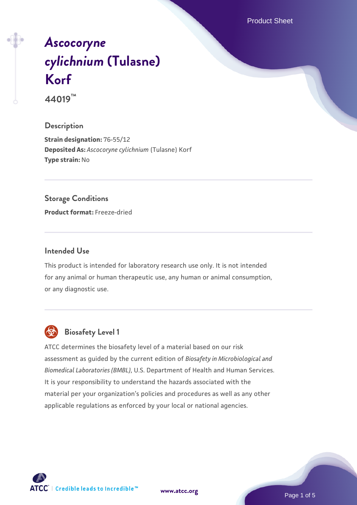Product Sheet

# *[Ascocoryne](https://www.atcc.org/products/44019) [cylichnium](https://www.atcc.org/products/44019)* **[\(Tulasne\)](https://www.atcc.org/products/44019) [Korf](https://www.atcc.org/products/44019)**

**44019™**

#### **Description**

**Strain designation:** 76-55/12 **Deposited As:** *Ascocoryne cylichnium* (Tulasne) Korf **Type strain:** No

#### **Storage Conditions**

**Product format:** Freeze-dried

#### **Intended Use**

This product is intended for laboratory research use only. It is not intended for any animal or human therapeutic use, any human or animal consumption, or any diagnostic use.



# **Biosafety Level 1**

ATCC determines the biosafety level of a material based on our risk assessment as guided by the current edition of *Biosafety in Microbiological and Biomedical Laboratories (BMBL)*, U.S. Department of Health and Human Services. It is your responsibility to understand the hazards associated with the material per your organization's policies and procedures as well as any other applicable regulations as enforced by your local or national agencies.

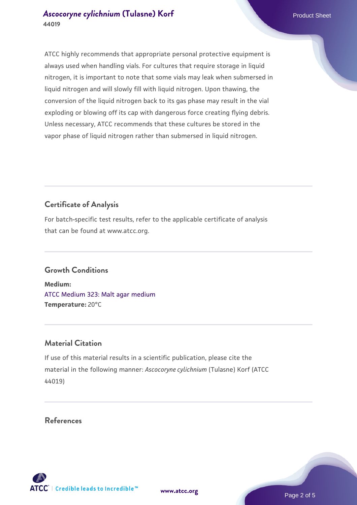#### **[Ascocoryne cylichnium](https://www.atcc.org/products/44019) [\(Tulasne\) Korf](https://www.atcc.org/products/44019) Product Sheet** Product Sheet **44019**

ATCC highly recommends that appropriate personal protective equipment is always used when handling vials. For cultures that require storage in liquid nitrogen, it is important to note that some vials may leak when submersed in liquid nitrogen and will slowly fill with liquid nitrogen. Upon thawing, the conversion of the liquid nitrogen back to its gas phase may result in the vial exploding or blowing off its cap with dangerous force creating flying debris. Unless necessary, ATCC recommends that these cultures be stored in the vapor phase of liquid nitrogen rather than submersed in liquid nitrogen.

## **Certificate of Analysis**

For batch-specific test results, refer to the applicable certificate of analysis that can be found at www.atcc.org.

## **Growth Conditions**

**Medium:**  [ATCC Medium 323: Malt agar medium](https://www.atcc.org/-/media/product-assets/documents/microbial-media-formulations/3/2/3/atcc-medium-323.pdf?rev=58d6457ee20149d7a1c844947569ef92) **Temperature:** 20°C

#### **Material Citation**

If use of this material results in a scientific publication, please cite the material in the following manner: *Ascocoryne cylichnium* (Tulasne) Korf (ATCC 44019)

#### **References**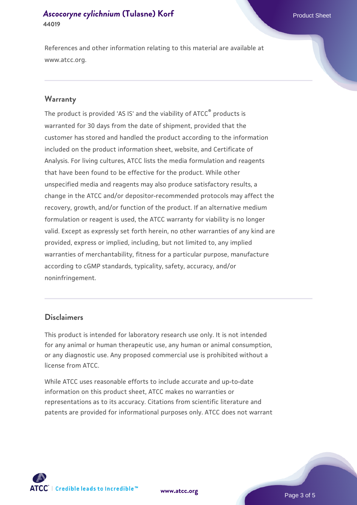#### **[Ascocoryne cylichnium](https://www.atcc.org/products/44019) [\(Tulasne\) Korf](https://www.atcc.org/products/44019) Product Sheet** Product Sheet **44019**

References and other information relating to this material are available at www.atcc.org.

#### **Warranty**

The product is provided 'AS IS' and the viability of ATCC® products is warranted for 30 days from the date of shipment, provided that the customer has stored and handled the product according to the information included on the product information sheet, website, and Certificate of Analysis. For living cultures, ATCC lists the media formulation and reagents that have been found to be effective for the product. While other unspecified media and reagents may also produce satisfactory results, a change in the ATCC and/or depositor-recommended protocols may affect the recovery, growth, and/or function of the product. If an alternative medium formulation or reagent is used, the ATCC warranty for viability is no longer valid. Except as expressly set forth herein, no other warranties of any kind are provided, express or implied, including, but not limited to, any implied warranties of merchantability, fitness for a particular purpose, manufacture according to cGMP standards, typicality, safety, accuracy, and/or noninfringement.

#### **Disclaimers**

This product is intended for laboratory research use only. It is not intended for any animal or human therapeutic use, any human or animal consumption, or any diagnostic use. Any proposed commercial use is prohibited without a license from ATCC.

While ATCC uses reasonable efforts to include accurate and up-to-date information on this product sheet, ATCC makes no warranties or representations as to its accuracy. Citations from scientific literature and patents are provided for informational purposes only. ATCC does not warrant



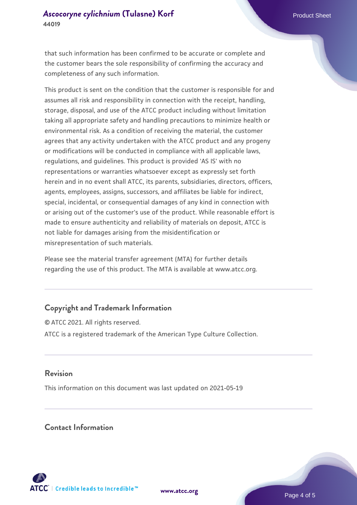that such information has been confirmed to be accurate or complete and the customer bears the sole responsibility of confirming the accuracy and completeness of any such information.

This product is sent on the condition that the customer is responsible for and assumes all risk and responsibility in connection with the receipt, handling, storage, disposal, and use of the ATCC product including without limitation taking all appropriate safety and handling precautions to minimize health or environmental risk. As a condition of receiving the material, the customer agrees that any activity undertaken with the ATCC product and any progeny or modifications will be conducted in compliance with all applicable laws, regulations, and guidelines. This product is provided 'AS IS' with no representations or warranties whatsoever except as expressly set forth herein and in no event shall ATCC, its parents, subsidiaries, directors, officers, agents, employees, assigns, successors, and affiliates be liable for indirect, special, incidental, or consequential damages of any kind in connection with or arising out of the customer's use of the product. While reasonable effort is made to ensure authenticity and reliability of materials on deposit, ATCC is not liable for damages arising from the misidentification or misrepresentation of such materials.

Please see the material transfer agreement (MTA) for further details regarding the use of this product. The MTA is available at www.atcc.org.

## **Copyright and Trademark Information**

© ATCC 2021. All rights reserved. ATCC is a registered trademark of the American Type Culture Collection.

#### **Revision**

This information on this document was last updated on 2021-05-19

#### **Contact Information**